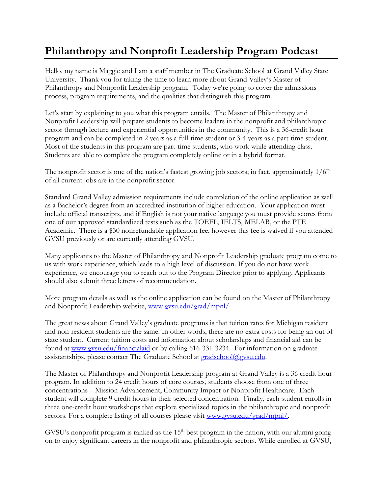## **Philanthropy and Nonprofit Leadership Program Podcast**

Hello, my name is Maggie and I am a staff member in The Graduate School at Grand Valley State University. Thank you for taking the time to learn more about Grand Valley's Master of Philanthropy and Nonprofit Leadership program. Today we're going to cover the admissions process, program requirements, and the qualities that distinguish this program.

Let's start by explaining to you what this program entails. The Master of Philanthropy and Nonprofit Leadership will prepare students to become leaders in the nonprofit and philanthropic sector through lecture and experiential opportunities in the community. This is a 36-credit hour program and can be completed in 2 years as a full-time student or 3-4 years as a part-time student. Most of the students in this program are part-time students, who work while attending class. Students are able to complete the program completely online or in a hybrid format.

The nonprofit sector is one of the nation's fastest growing job sectors; in fact, approximately  $1/6<sup>th</sup>$ of all current jobs are in the nonprofit sector.

Standard Grand Valley admission requirements include completion of the online application as well as a Bachelor's degree from an accredited institution of higher education. Your application must include official transcripts, and if English is not your native language you must provide scores from one of our approved standardized tests such as the TOEFL, IELTS, MELAB, or the PTE Academic. There is a \$30 nonrefundable application fee, however this fee is waived if you attended GVSU previously or are currently attending GVSU.

Many applicants to the Master of Philanthropy and Nonprofit Leadership graduate program come to us with work experience, which leads to a high level of discussion. If you do not have work experience, we encourage you to reach out to the Program Director prior to applying. Applicants should also submit three letters of recommendation.

More program details as well as the online application can be found on the Master of Philanthropy and Nonprofit Leadership website, [www.gvsu.edu/grad/mpnl/.](http://www.gvsu.edu/grad/mpnl/)

The great news about Grand Valley's graduate programs is that tuition rates for Michigan resident and non-resident students are the same. In other words, there are no extra costs for being an out of state student. Current tuition costs and information about scholarships and financial aid can be found at [www.gvsu.edu/financialaid](http://www.gvsu.edu/financialaid) or by calling 616-331-3234. For information on graduate assistantships, please contact The Graduate School at **gradschool@gvsu.edu.** 

The Master of Philanthropy and Nonprofit Leadership program at Grand Valley is a 36 credit hour program. In addition to 24 credit hours of core courses, students choose from one of three concentrations – Mission Advancement, Community Impact or Nonprofit Healthcare. Each student will complete 9 credit hours in their selected concentration. Finally, each student enrolls in three one-credit hour workshops that explore specialized topics in the philanthropic and nonprofit sectors. For a complete listing of all courses please visit [www.gvsu.edu/grad/mpnl/.](http://www.gvsu.edu/grad/mpnl/)

GVSU's nonprofit program is ranked as the  $15<sup>th</sup>$  best program in the nation, with our alumni going on to enjoy significant careers in the nonprofit and philanthropic sectors. While enrolled at GVSU,